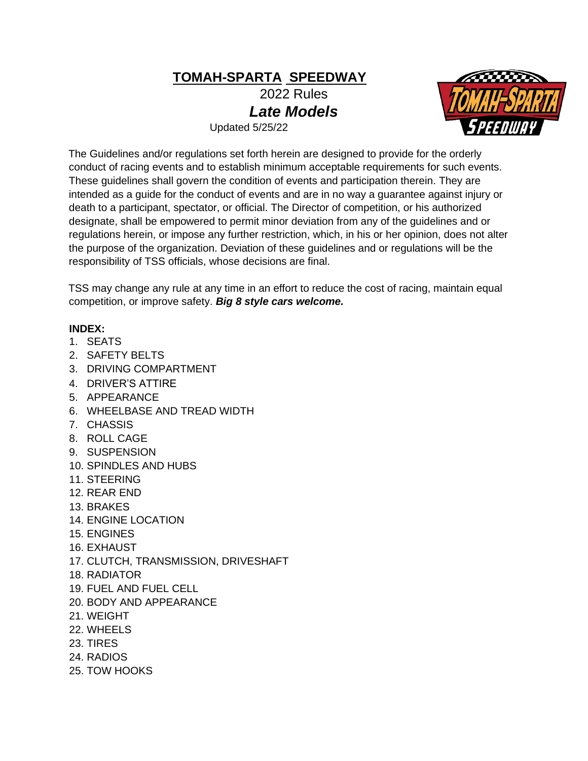**TOMAH-SPARTA SPEEDWAY**

2022 Rules *Late Models* 

Updated 5/25/22



The Guidelines and/or regulations set forth herein are designed to provide for the orderly conduct of racing events and to establish minimum acceptable requirements for such events. These guidelines shall govern the condition of events and participation therein. They are intended as a guide for the conduct of events and are in no way a guarantee against injury or death to a participant, spectator, or official. The Director of competition, or his authorized designate, shall be empowered to permit minor deviation from any of the guidelines and or regulations herein, or impose any further restriction, which, in his or her opinion, does not alter the purpose of the organization. Deviation of these guidelines and or regulations will be the responsibility of TSS officials, whose decisions are final.

TSS may change any rule at any time in an effort to reduce the cost of racing, maintain equal competition, or improve safety. *Big 8 style cars welcome.*

## **INDEX:**

- 1. SEATS
- 2. SAFETY BELTS
- 3. DRIVING COMPARTMENT
- 4. DRIVER'S ATTIRE
- 5. APPEARANCE
- 6. WHEELBASE AND TREAD WIDTH
- 7. CHASSIS
- 8. ROLL CAGE
- 9. SUSPENSION
- 10. SPINDLES AND HUBS
- 11. STEERING
- 12. REAR END
- 13. BRAKES
- 14. ENGINE LOCATION
- 15. ENGINES
- 16. EXHAUST
- 17. CLUTCH, TRANSMISSION, DRIVESHAFT
- 18. RADIATOR
- 19. FUEL AND FUEL CELL
- 20. BODY AND APPEARANCE
- 21. WEIGHT
- 22. WHEELS
- 23. TIRES
- 24. RADIOS
- 25. TOW HOOKS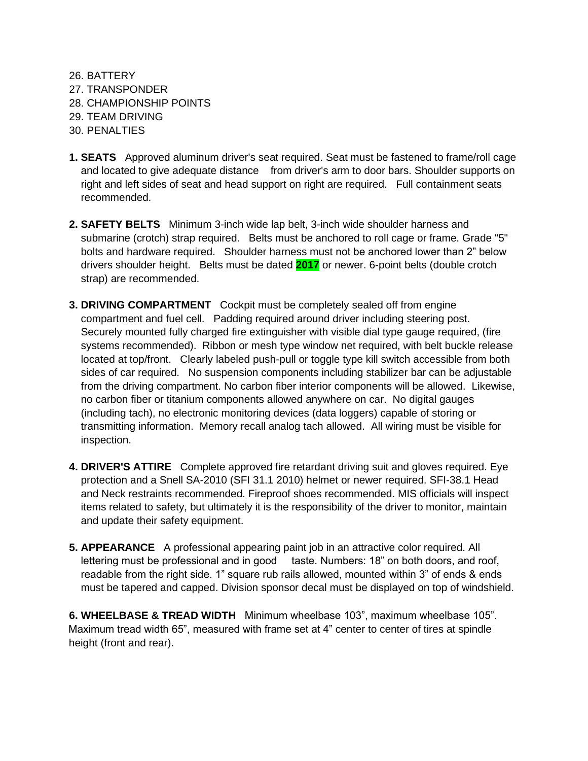26. BATTERY 27. TRANSPONDER 28. CHAMPIONSHIP POINTS 29. TEAM DRIVING 30. PENALTIES

- **1. SEATS** Approved aluminum driver's seat required. Seat must be fastened to frame/roll cage and located to give adequate distance from driver's arm to door bars. Shoulder supports on right and left sides of seat and head support on right are required. Full containment seats recommended.
- **2. SAFETY BELTS** Minimum 3-inch wide lap belt, 3-inch wide shoulder harness and submarine (crotch) strap required. Belts must be anchored to roll cage or frame. Grade "5" bolts and hardware required. Shoulder harness must not be anchored lower than 2" below drivers shoulder height. Belts must be dated **2017** or newer. 6-point belts (double crotch strap) are recommended.
- **3. DRIVING COMPARTMENT** Cockpit must be completely sealed off from engine compartment and fuel cell. Padding required around driver including steering post. Securely mounted fully charged fire extinguisher with visible dial type gauge required, (fire systems recommended). Ribbon or mesh type window net required, with belt buckle release located at top/front. Clearly labeled push-pull or toggle type kill switch accessible from both sides of car required. No suspension components including stabilizer bar can be adjustable from the driving compartment. No carbon fiber interior components will be allowed. Likewise, no carbon fiber or titanium components allowed anywhere on car. No digital gauges (including tach), no electronic monitoring devices (data loggers) capable of storing or transmitting information. Memory recall analog tach allowed. All wiring must be visible for inspection.
- **4. DRIVER'S ATTIRE** Complete approved fire retardant driving suit and gloves required. Eye protection and a Snell SA-2010 (SFI 31.1 2010) helmet or newer required. SFI-38.1 Head and Neck restraints recommended. Fireproof shoes recommended. MIS officials will inspect items related to safety, but ultimately it is the responsibility of the driver to monitor, maintain and update their safety equipment.
- **5. APPEARANCE** A professional appearing paint job in an attractive color required. All lettering must be professional and in good taste. Numbers: 18" on both doors, and roof, readable from the right side. 1" square rub rails allowed, mounted within 3" of ends & ends must be tapered and capped. Division sponsor decal must be displayed on top of windshield.

**6. WHEELBASE & TREAD WIDTH** Minimum wheelbase 103", maximum wheelbase 105". Maximum tread width 65", measured with frame set at 4" center to center of tires at spindle height (front and rear).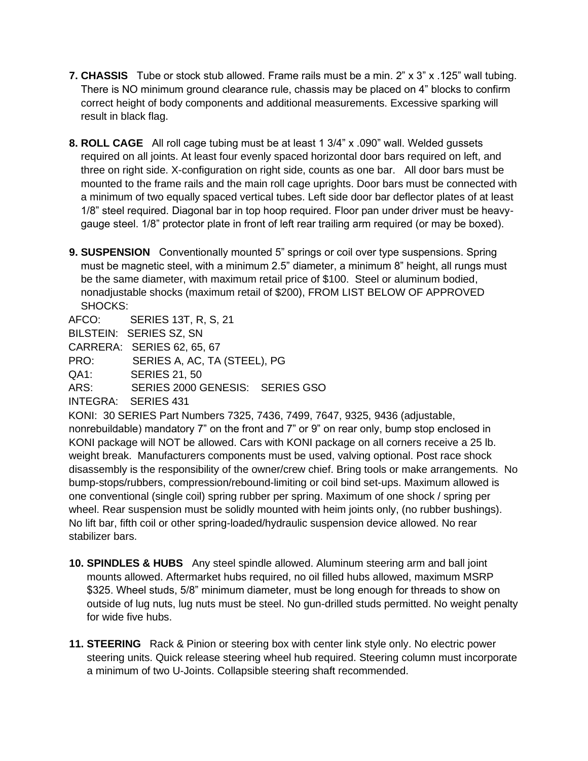- **7. CHASSIS** Tube or stock stub allowed. Frame rails must be a min. 2" x 3" x .125" wall tubing. There is NO minimum ground clearance rule, chassis may be placed on 4" blocks to confirm correct height of body components and additional measurements. Excessive sparking will result in black flag.
- **8. ROLL CAGE** All roll cage tubing must be at least 1 3/4" x .090" wall. Welded gussets required on all joints. At least four evenly spaced horizontal door bars required on left, and three on right side. X-configuration on right side, counts as one bar. All door bars must be mounted to the frame rails and the main roll cage uprights. Door bars must be connected with a minimum of two equally spaced vertical tubes. Left side door bar deflector plates of at least 1/8" steel required. Diagonal bar in top hoop required. Floor pan under driver must be heavygauge steel. 1/8" protector plate in front of left rear trailing arm required (or may be boxed).
- **9. SUSPENSION** Conventionally mounted 5" springs or coil over type suspensions. Spring must be magnetic steel, with a minimum 2.5" diameter, a minimum 8" height, all rungs must be the same diameter, with maximum retail price of \$100. Steel or aluminum bodied, nonadjustable shocks (maximum retail of \$200), FROM LIST BELOW OF APPROVED SHOCKS:

AFCO: SERIES 13T, R, S, 21

BILSTEIN: SERIES SZ, SN

CARRERA: SERIES 62, 65, 67

PRO: SERIES A, AC, TA (STEEL), PG

QA1: SERIES 21, 50

ARS: SERIES 2000 GENESIS: SERIES GSO

INTEGRA: SERIES 431

KONI: 30 SERIES Part Numbers 7325, 7436, 7499, 7647, 9325, 9436 (adjustable, nonrebuildable) mandatory 7" on the front and 7" or 9" on rear only, bump stop enclosed in KONI package will NOT be allowed. Cars with KONI package on all corners receive a 25 lb. weight break. Manufacturers components must be used, valving optional. Post race shock disassembly is the responsibility of the owner/crew chief. Bring tools or make arrangements. No bump-stops/rubbers, compression/rebound-limiting or coil bind set-ups. Maximum allowed is one conventional (single coil) spring rubber per spring. Maximum of one shock / spring per wheel. Rear suspension must be solidly mounted with heim joints only, (no rubber bushings). No lift bar, fifth coil or other spring-loaded/hydraulic suspension device allowed. No rear stabilizer bars.

- **10. SPINDLES & HUBS** Any steel spindle allowed. Aluminum steering arm and ball joint mounts allowed. Aftermarket hubs required, no oil filled hubs allowed, maximum MSRP \$325. Wheel studs, 5/8" minimum diameter, must be long enough for threads to show on outside of lug nuts, lug nuts must be steel. No gun-drilled studs permitted. No weight penalty for wide five hubs.
- **11. STEERING** Rack & Pinion or steering box with center link style only. No electric power steering units. Quick release steering wheel hub required. Steering column must incorporate a minimum of two U-Joints. Collapsible steering shaft recommended.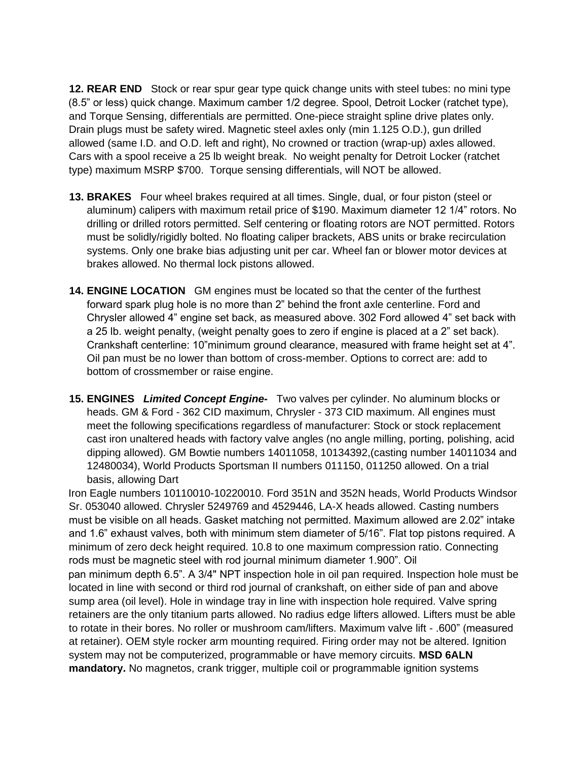**12. REAR END** Stock or rear spur gear type quick change units with steel tubes: no mini type (8.5" or less) quick change. Maximum camber 1/2 degree. Spool, Detroit Locker (ratchet type), and Torque Sensing, differentials are permitted. One-piece straight spline drive plates only. Drain plugs must be safety wired. Magnetic steel axles only (min 1.125 O.D.), gun drilled allowed (same I.D. and O.D. left and right), No crowned or traction (wrap-up) axles allowed. Cars with a spool receive a 25 lb weight break. No weight penalty for Detroit Locker (ratchet type) maximum MSRP \$700. Torque sensing differentials, will NOT be allowed.

- **13. BRAKES** Four wheel brakes required at all times. Single, dual, or four piston (steel or aluminum) calipers with maximum retail price of \$190. Maximum diameter 12 1/4" rotors. No drilling or drilled rotors permitted. Self centering or floating rotors are NOT permitted. Rotors must be solidly/rigidly bolted. No floating caliper brackets, ABS units or brake recirculation systems. Only one brake bias adjusting unit per car. Wheel fan or blower motor devices at brakes allowed. No thermal lock pistons allowed.
- **14. ENGINE LOCATION** GM engines must be located so that the center of the furthest forward spark plug hole is no more than 2" behind the front axle centerline. Ford and Chrysler allowed 4" engine set back, as measured above. 302 Ford allowed 4" set back with a 25 lb. weight penalty, (weight penalty goes to zero if engine is placed at a 2" set back). Crankshaft centerline: 10"minimum ground clearance, measured with frame height set at 4". Oil pan must be no lower than bottom of cross-member. Options to correct are: add to bottom of crossmember or raise engine.
- **15. ENGINES** *Limited Concept Engine-* Two valves per cylinder. No aluminum blocks or heads. GM & Ford - 362 CID maximum, Chrysler - 373 CID maximum. All engines must meet the following specifications regardless of manufacturer: Stock or stock replacement cast iron unaltered heads with factory valve angles (no angle milling, porting, polishing, acid dipping allowed). GM Bowtie numbers 14011058, 10134392,(casting number 14011034 and 12480034), World Products Sportsman II numbers 011150, 011250 allowed. On a trial basis, allowing Dart

Iron Eagle numbers 10110010-10220010. Ford 351N and 352N heads, World Products Windsor Sr. 053040 allowed. Chrysler 5249769 and 4529446, LA-X heads allowed. Casting numbers must be visible on all heads. Gasket matching not permitted. Maximum allowed are 2.02" intake and 1.6" exhaust valves, both with minimum stem diameter of 5/16". Flat top pistons required. A minimum of zero deck height required. 10.8 to one maximum compression ratio. Connecting rods must be magnetic steel with rod journal minimum diameter 1.900". Oil pan minimum depth 6.5". A 3/4" NPT inspection hole in oil pan required. Inspection hole must be located in line with second or third rod journal of crankshaft, on either side of pan and above sump area (oil level). Hole in windage tray in line with inspection hole required. Valve spring retainers are the only titanium parts allowed. No radius edge lifters allowed. Lifters must be able to rotate in their bores. No roller or mushroom cam/lifters. Maximum valve lift - .600" (measured at retainer). OEM style rocker arm mounting required. Firing order may not be altered. Ignition system may not be computerized, programmable or have memory circuits. **MSD 6ALN mandatory.** No magnetos, crank trigger, multiple coil or programmable ignition systems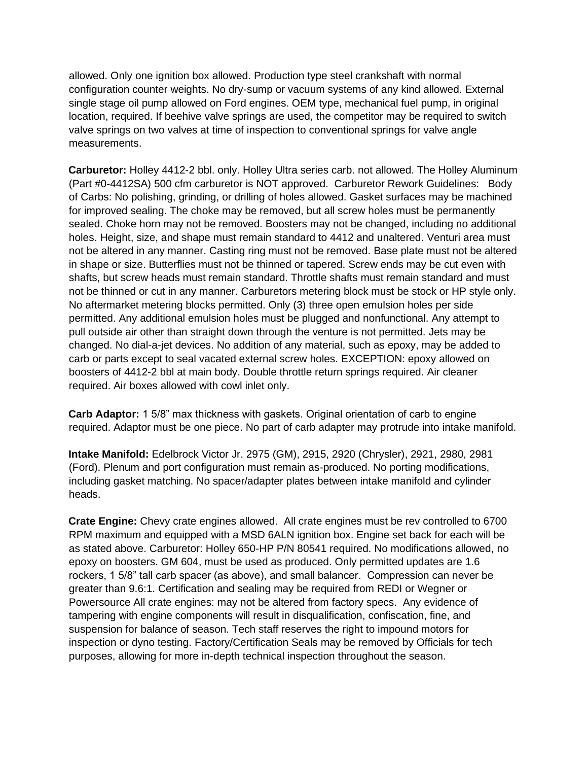allowed. Only one ignition box allowed. Production type steel crankshaft with normal configuration counter weights. No dry-sump or vacuum systems of any kind allowed. External single stage oil pump allowed on Ford engines. OEM type, mechanical fuel pump, in original location, required. If beehive valve springs are used, the competitor may be required to switch valve springs on two valves at time of inspection to conventional springs for valve angle measurements.

**Carburetor:** Holley 4412-2 bbl. only. Holley Ultra series carb. not allowed. The Holley Aluminum (Part #0-4412SA) 500 cfm carburetor is NOT approved. Carburetor Rework Guidelines: Body of Carbs: No polishing, grinding, or drilling of holes allowed. Gasket surfaces may be machined for improved sealing. The choke may be removed, but all screw holes must be permanently sealed. Choke horn may not be removed. Boosters may not be changed, including no additional holes. Height, size, and shape must remain standard to 4412 and unaltered. Venturi area must not be altered in any manner. Casting ring must not be removed. Base plate must not be altered in shape or size. Butterflies must not be thinned or tapered. Screw ends may be cut even with shafts, but screw heads must remain standard. Throttle shafts must remain standard and must not be thinned or cut in any manner. Carburetors metering block must be stock or HP style only. No aftermarket metering blocks permitted. Only (3) three open emulsion holes per side permitted. Any additional emulsion holes must be plugged and nonfunctional. Any attempt to pull outside air other than straight down through the venture is not permitted. Jets may be changed. No dial-a-jet devices. No addition of any material, such as epoxy, may be added to carb or parts except to seal vacated external screw holes. EXCEPTION: epoxy allowed on boosters of 4412-2 bbl at main body. Double throttle return springs required. Air cleaner required. Air boxes allowed with cowl inlet only.

**Carb Adaptor:** 1 5/8" max thickness with gaskets. Original orientation of carb to engine required. Adaptor must be one piece. No part of carb adapter may protrude into intake manifold.

**Intake Manifold:** Edelbrock Victor Jr. 2975 (GM), 2915, 2920 (Chrysler), 2921, 2980, 2981 (Ford). Plenum and port configuration must remain as-produced. No porting modifications, including gasket matching. No spacer/adapter plates between intake manifold and cylinder heads.

**Crate Engine:** Chevy crate engines allowed. All crate engines must be rev controlled to 6700 RPM maximum and equipped with a MSD 6ALN ignition box. Engine set back for each will be as stated above. Carburetor: Holley 650-HP P/N 80541 required. No modifications allowed, no epoxy on boosters. GM 604, must be used as produced. Only permitted updates are 1.6 rockers, 1 5/8" tall carb spacer (as above), and small balancer. Compression can never be greater than 9.6:1. Certification and sealing may be required from REDI or Wegner or Powersource All crate engines: may not be altered from factory specs. Any evidence of tampering with engine components will result in disqualification, confiscation, fine, and suspension for balance of season. Tech staff reserves the right to impound motors for inspection or dyno testing. Factory/Certification Seals may be removed by Officials for tech purposes, allowing for more in-depth technical inspection throughout the season.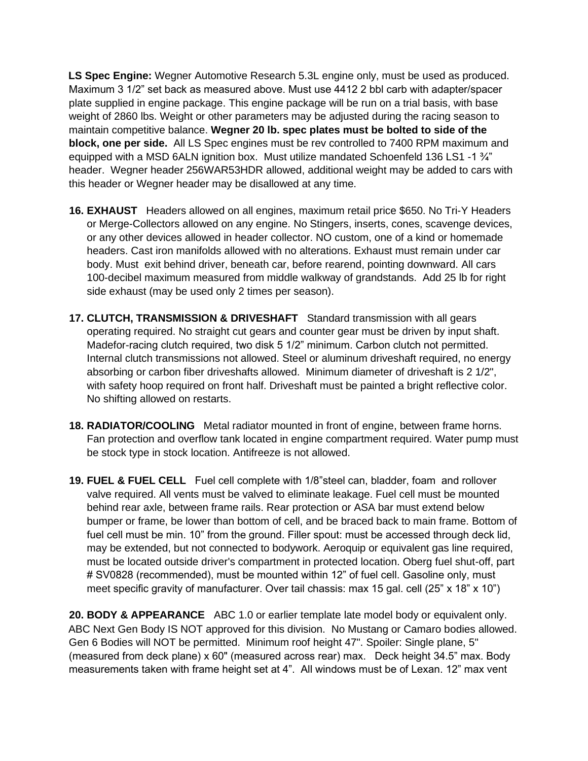**LS Spec Engine:** Wegner Automotive Research 5.3L engine only, must be used as produced. Maximum 3 1/2" set back as measured above. Must use 4412 2 bbl carb with adapter/spacer plate supplied in engine package. This engine package will be run on a trial basis, with base weight of 2860 lbs. Weight or other parameters may be adjusted during the racing season to maintain competitive balance. **Wegner 20 lb. spec plates must be bolted to side of the block, one per side.** All LS Spec engines must be rev controlled to 7400 RPM maximum and equipped with a MSD 6ALN ignition box. Must utilize mandated Schoenfeld 136 LS1 -1 ¾" header. Wegner header 256WAR53HDR allowed, additional weight may be added to cars with this header or Wegner header may be disallowed at any time.

- **16. EXHAUST** Headers allowed on all engines, maximum retail price \$650. No Tri-Y Headers or Merge-Collectors allowed on any engine. No Stingers, inserts, cones, scavenge devices, or any other devices allowed in header collector. NO custom, one of a kind or homemade headers. Cast iron manifolds allowed with no alterations. Exhaust must remain under car body. Must exit behind driver, beneath car, before rearend, pointing downward. All cars 100-decibel maximum measured from middle walkway of grandstands. Add 25 lb for right side exhaust (may be used only 2 times per season).
- **17. CLUTCH, TRANSMISSION & DRIVESHAFT** Standard transmission with all gears operating required. No straight cut gears and counter gear must be driven by input shaft. Madefor-racing clutch required, two disk 5 1/2" minimum. Carbon clutch not permitted. Internal clutch transmissions not allowed. Steel or aluminum driveshaft required, no energy absorbing or carbon fiber driveshafts allowed. Minimum diameter of driveshaft is 2 1/2", with safety hoop required on front half. Driveshaft must be painted a bright reflective color. No shifting allowed on restarts.
- **18. RADIATOR/COOLING** Metal radiator mounted in front of engine, between frame horns. Fan protection and overflow tank located in engine compartment required. Water pump must be stock type in stock location. Antifreeze is not allowed.
- **19. FUEL & FUEL CELL** Fuel cell complete with 1/8"steel can, bladder, foam and rollover valve required. All vents must be valved to eliminate leakage. Fuel cell must be mounted behind rear axle, between frame rails. Rear protection or ASA bar must extend below bumper or frame, be lower than bottom of cell, and be braced back to main frame. Bottom of fuel cell must be min. 10" from the ground. Filler spout: must be accessed through deck lid, may be extended, but not connected to bodywork. Aeroquip or equivalent gas line required, must be located outside driver's compartment in protected location. Oberg fuel shut-off, part # SV0828 (recommended), must be mounted within 12" of fuel cell. Gasoline only, must meet specific gravity of manufacturer. Over tail chassis: max 15 gal. cell (25" x 18" x 10")

**20. BODY & APPEARANCE** ABC 1.0 or earlier template late model body or equivalent only. ABC Next Gen Body IS NOT approved for this division. No Mustang or Camaro bodies allowed. Gen 6 Bodies will NOT be permitted. Minimum roof height 47". Spoiler: Single plane, 5" (measured from deck plane) x 60" (measured across rear) max. Deck height 34.5" max. Body measurements taken with frame height set at 4". All windows must be of Lexan. 12" max vent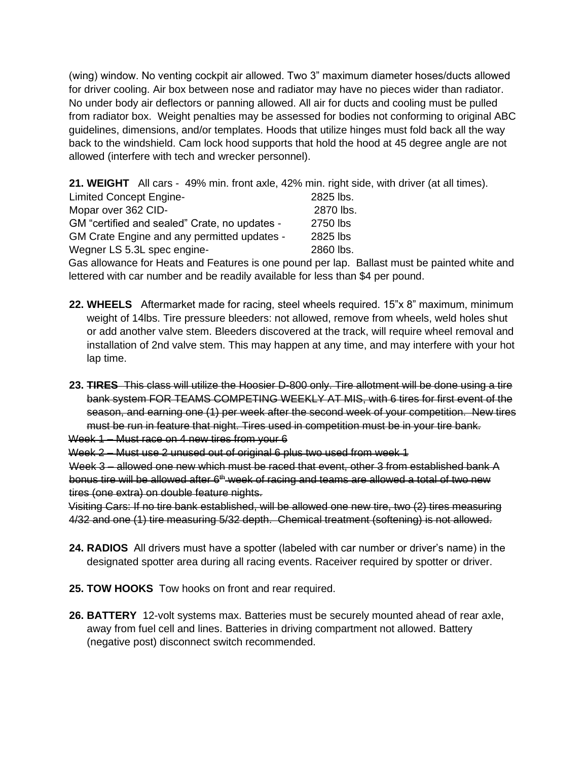(wing) window. No venting cockpit air allowed. Two 3" maximum diameter hoses/ducts allowed for driver cooling. Air box between nose and radiator may have no pieces wider than radiator. No under body air deflectors or panning allowed. All air for ducts and cooling must be pulled from radiator box. Weight penalties may be assessed for bodies not conforming to original ABC guidelines, dimensions, and/or templates. Hoods that utilize hinges must fold back all the way back to the windshield. Cam lock hood supports that hold the hood at 45 degree angle are not allowed (interfere with tech and wrecker personnel).

**21. WEIGHT** All cars - 49% min. front axle, 42% min. right side, with driver (at all times).

| <b>Limited Concept Engine-</b>                | 2825 lbs. |
|-----------------------------------------------|-----------|
| Mopar over 362 CID-                           | 2870 lbs. |
| GM "certified and sealed" Crate, no updates - | 2750 lbs  |
| GM Crate Engine and any permitted updates -   | 2825 lbs  |
| Wegner LS 5.3L spec engine-                   | 2860 lbs. |

Gas allowance for Heats and Features is one pound per lap. Ballast must be painted white and lettered with car number and be readily available for less than \$4 per pound.

- **22. WHEELS** Aftermarket made for racing, steel wheels required. 15"x 8" maximum, minimum weight of 14lbs. Tire pressure bleeders: not allowed, remove from wheels, weld holes shut or add another valve stem. Bleeders discovered at the track, will require wheel removal and installation of 2nd valve stem. This may happen at any time, and may interfere with your hot lap time.
- **23. TIRES** This class will utilize the Hoosier D-800 only. Tire allotment will be done using a tire bank system FOR TEAMS COMPETING WEEKLY AT MIS, with 6 tires for first event of the season, and earning one (1) per week after the second week of your competition. New tires must be run in feature that night. Tires used in competition must be in your tire bank. Week 1 – Must race on 4 new tires from your 6

Week 2 – Must use 2 unused out of original 6 plus two used from week 1

Week 3 – allowed one new which must be raced that event, other 3 from established bank A bonus tire will be allowed after 6<sup>th</sup> week of racing and teams are allowed a total of two new tires (one extra) on double feature nights.

Visiting Cars: If no tire bank established, will be allowed one new tire, two (2) tires measuring 4/32 and one (1) tire measuring 5/32 depth. Chemical treatment (softening) is not allowed.

- **24. RADIOS** All drivers must have a spotter (labeled with car number or driver's name) in the designated spotter area during all racing events. Raceiver required by spotter or driver.
- **25. TOW HOOKS** Tow hooks on front and rear required.
- **26. BATTERY** 12-volt systems max. Batteries must be securely mounted ahead of rear axle, away from fuel cell and lines. Batteries in driving compartment not allowed. Battery (negative post) disconnect switch recommended.